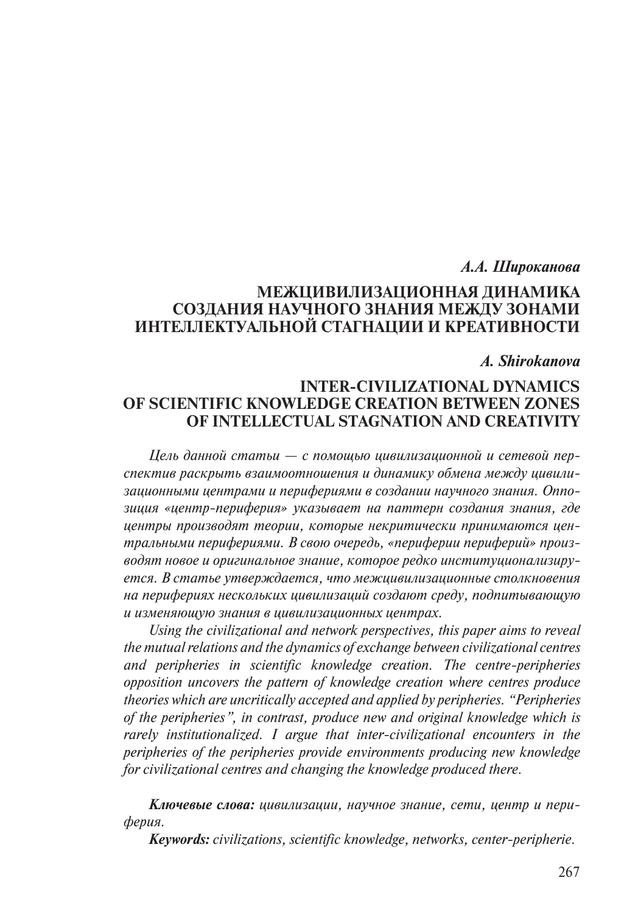#### *А.А. Широканова*

## **МЕЖЦИВИЛИЗАЦИОННАЯ ДИНАМИКА СОЗДАНИЯ НАУЧНОГО ЗНАНИЯ МЕЖДУ ЗОНАМИ ИНТЕЛЛЕКТУАЛЬНОЙ СТАГНАЦИИ И КРЕАТИВНОСТИ**

### *A. Shirokanova*

# **INTER-CIVILIZATIONAL DYNAMICS OF SCIENTIFIC KNOWLEDGE CREATION BETWEEN ZONES OF INTELLECTUAL STAGNATION AND CREATIVITY**

*Цель данной статьи — с помощью цивилизационной и сетевой перспектив раскрыть взаимоотношения и динамику обмена между цивилизационными центрами и перифериями в создании научного знания. Оппозиция «центр-периферия» указывает на паттерн создания знания, где центры производят теории, которые некритически принимаются центральными перифериями. В свою очередь, «периферии периферий» производят новое и оригинальное знание, которое редко институционализируется. В статье утверждается, что межцивилизационные столкновения на перифериях нескольких цивилизаций создают среду, подпитывающую и изменяющую знания в цивилизационных центрах.*

*Using the civilizational and network perspectives, this paper aims to reveal the mutual relations and the dynamics of exchange between civilizational centres and peripheries in scientific knowledge creation. The centre-peripheries opposition uncovers the pattern of knowledge creation where centres produce theories which are uncritically accepted and applied by peripheries. "Peripheries of the peripheries", in contrast, produce new and original knowledge which is rarely institutionalized. I argue that inter-civilizational encounters in the peripheries of the peripheries provide environments producing new knowledge for civilizational centres and changing the knowledge produced there.*

*Ключевые слова: цивилизации, научное знание, сети, центр и периферия.*

*Keywords: civilizations, scientific knowledge, networks, center-peripherie.*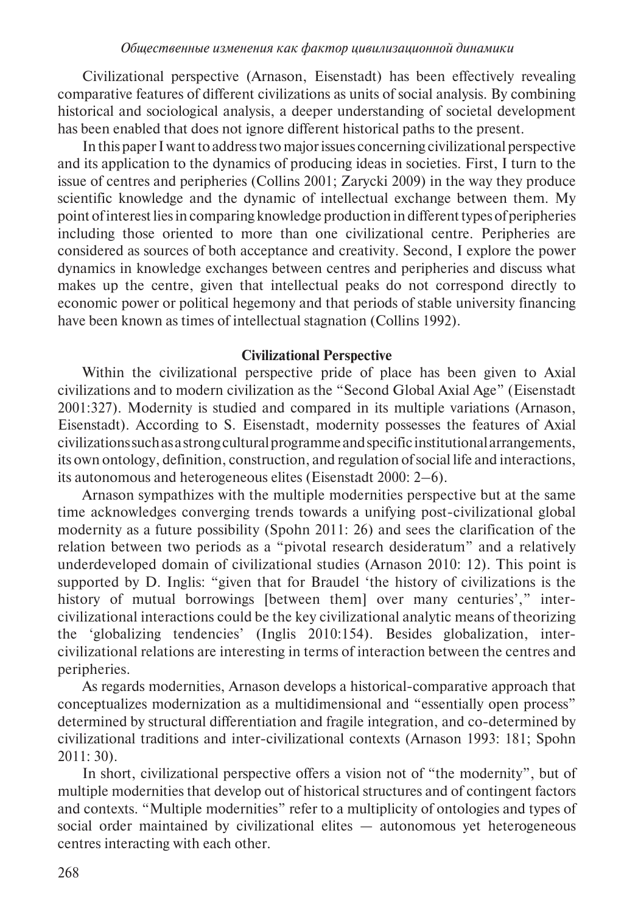Civilizational perspective (Arnason, Eisenstadt) has been effectively revealing comparative features of different civilizations as units of social analysis. By combining historical and sociological analysis, a deeper understanding of societal development has been enabled that does not ignore different historical paths to the present.

In this paper I want to address two major issues concerning civilizational perspective and its application to the dynamics of producing ideas in societies. First, I turn to the issue of centres and peripheries (Collins 2001; Zarycki 2009) in the way they produce scientific knowledge and the dynamic of intellectual exchange between them. My point of interest lies in comparing knowledge production in different types of peripheries including those oriented to more than one civilizational centre. Peripheries are considered as sources of both acceptance and creativity. Second, I explore the power dynamics in knowledge exchanges between centres and peripheries and discuss what makes up the centre, given that intellectual peaks do not correspond directly to economic power or political hegemony and that periods of stable university financing have been known as times of intellectual stagnation (Collins 1992).

#### **Civilizational Perspective**

Within the civilizational perspective pride of place has been given to Axial civilizations and to modern civilization as the "Second Global Axial Age" (Eisenstadt 2001:327). Modernity is studied and compared in its multiple variations (Arnason, Eisenstadt). According to S. Eisenstadt, modernity possesses the features of Axial civilizations such as a strong cultural programme and specific institutional arrangements, its own ontology, definition, construction, and regulation of social life and interactions, its autonomous and heterogeneous elites (Eisenstadt 2000: 2–6).

Arnason sympathizes with the multiple modernities perspective but at the same time acknowledges converging trends towards a unifying post-civilizational global modernity as a future possibility (Spohn 2011: 26) and sees the clarification of the relation between two periods as a "pivotal research desideratum" and a relatively underdeveloped domain of civilizational studies (Arnason 2010: 12). This point is supported by D. Inglis: "given that for Braudel 'the history of civilizations is the history of mutual borrowings [between them] over many centuries'," intercivilizational interactions could be the key civilizational analytic means of theorizing the 'globalizing tendencies' (Inglis 2010:154). Besides globalization, intercivilizational relations are interesting in terms of interaction between the centres and peripheries.

As regards modernities, Arnason develops a historical-comparative approach that conceptualizes modernization as a multidimensional and "essentially open process" determined by structural differentiation and fragile integration, and co-determined by civilizational traditions and inter-civilizational contexts (Arnason 1993: 181; Spohn 2011: 30).

In short, civilizational perspective offers a vision not of "the modernity", but of multiple modernities that develop out of historical structures and of contingent factors and contexts. "Multiple modernities" refer to a multiplicity of ontologies and types of social order maintained by civilizational elites — autonomous yet heterogeneous centres interacting with each other.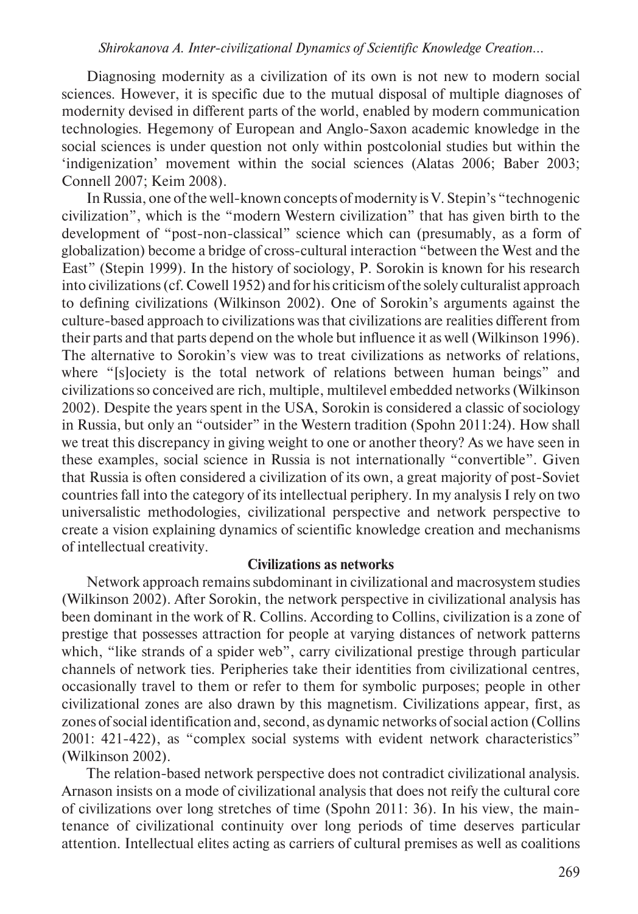Diagnosing modernity as a civilization of its own is not new to modern social sciences. However, it is specific due to the mutual disposal of multiple diagnoses of modernity devised in different parts of the world, enabled by modern communication technologies. Hegemony of European and Anglo-Saxon academic knowledge in the social sciences is under question not only within postcolonial studies but within the 'indigenization' movement within the social sciences (Alatas 2006; Baber 2003; Connell 2007; Keim 2008).

In Russia, one of the well-known concepts of modernity is V. Stepin's "technogenic civilization", which is the "modern Western civilization" that has given birth to the development of "post-non-classical" science which can (presumably, as a form of globalization) become a bridge of cross-cultural interaction "between the West and the East" (Stepin 1999). In the history of sociology, P. Sorokin is known for his research into civilizations (cf. Cowell 1952) and for his criticism of the solely culturalist approach to defining civilizations (Wilkinson 2002). One of Sorokin's arguments against the culture-based approach to civilizations was that civilizations are realities different from their parts and that parts depend on the whole but influence it as well (Wilkinson 1996). The alternative to Sorokin's view was to treat civilizations as networks of relations, where "[s]ociety is the total network of relations between human beings" and civilizations so conceived are rich, multiple, multilevel embedded networks (Wilkinson 2002). Despite the years spent in the USA, Sorokin is considered a classic of sociology in Russia, but only an "outsider" in the Western tradition (Spohn 2011:24). How shall we treat this discrepancy in giving weight to one or another theory? As we have seen in these examples, social science in Russia is not internationally "convertible". Given that Russia is often considered a civilization of its own, a great majority of post-Soviet countries fall into the category of its intellectual periphery. In my analysis I rely on two universalistic methodologies, civilizational perspective and network perspective to create a vision explaining dynamics of scientific knowledge creation and mechanisms of intellectual creativity.

#### **Civilizations as networks**

Network approach remains subdominant in civilizational and macrosystem studies (Wilkinson 2002). After Sorokin, the network perspective in civilizational analysis has been dominant in the work of R. Collins. According to Collins, civilization is a zone of prestige that possesses attraction for people at varying distances of network patterns which, "like strands of a spider web", carry civilizational prestige through particular channels of network ties. Peripheries take their identities from civilizational centres, occasionally travel to them or refer to them for symbolic purposes; people in other civilizational zones are also drawn by this magnetism. Civilizations appear, first, as zones of social identification and, second, as dynamic networks of social action (Collins 2001: 421-422), as "complex social systems with evident network characteristics" (Wilkinson 2002).

The relation-based network perspective does not contradict civilizational analysis. Arnason insists on a mode of civilizational analysis that does not reify the cultural core of civilizations over long stretches of time (Spohn 2011: 36). In his view, the maintenance of civilizational continuity over long periods of time deserves particular attention. Intellectual elites acting as carriers of cultural premises as well as coalitions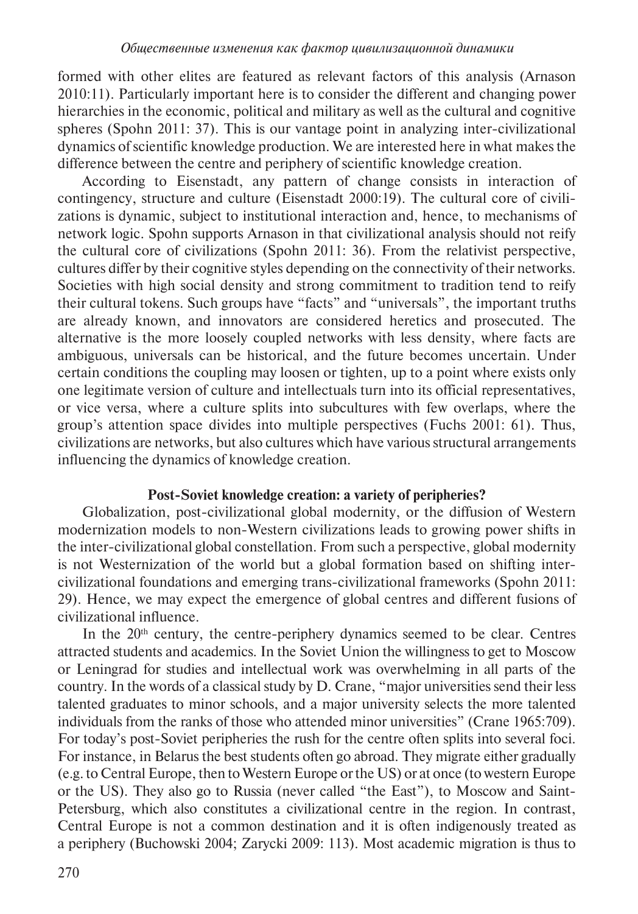formed with other elites are featured as relevant factors of this analysis (Arnason 2010:11). Particularly important here is to consider the different and changing power hierarchies in the economic, political and military as well as the cultural and cognitive spheres (Spohn 2011: 37). This is our vantage point in analyzing inter-civilizational dynamics of scientific knowledge production. We are interested here in what makes the difference between the centre and periphery of scientific knowledge creation.

According to Eisenstadt, any pattern of change consists in interaction of contingency, structure and culture (Eisenstadt 2000:19). The cultural core of civilizations is dynamic, subject to institutional interaction and, hence, to mechanisms of network logic. Spohn supports Arnason in that civilizational analysis should not reify the cultural core of civilizations (Spohn 2011: 36). From the relativist perspective, cultures differ by their cognitive styles depending on the connectivity of their networks. Societies with high social density and strong commitment to tradition tend to reify their cultural tokens. Such groups have "facts" and "universals", the important truths are already known, and innovators are considered heretics and prosecuted. The alternative is the more loosely coupled networks with less density, where facts are ambiguous, universals can be historical, and the future becomes uncertain. Under certain conditions the coupling may loosen or tighten, up to a point where exists only one legitimate version of culture and intellectuals turn into its official representatives, or vice versa, where a culture splits into subcultures with few overlaps, where the group's attention space divides into multiple perspectives (Fuchs 2001: 61). Thus, civilizations are networks, but also cultures which have various structural arrangements influencing the dynamics of knowledge creation.

## **Post-Soviet knowledge creation: a variety of peripheries?**

Globalization, post-civilizational global modernity, or the diffusion of Western modernization models to non-Western civilizations leads to growing power shifts in the inter-civilizational global constellation. From such a perspective, global modernity is not Westernization of the world but a global formation based on shifting intercivilizational foundations and emerging trans-civilizational frameworks (Spohn 2011: 29). Hence, we may expect the emergence of global centres and different fusions of civilizational influence.

In the  $20<sup>th</sup>$  century, the centre-periphery dynamics seemed to be clear. Centres attracted students and academics. In the Soviet Union the willingness to get to Moscow or Leningrad for studies and intellectual work was overwhelming in all parts of the country. In the words of a classical study by D. Crane, "major universities send their less talented graduates to minor schools, and a major university selects the more talented individuals from the ranks of those who attended minor universities" (Crane 1965:709). For today's post-Soviet peripheries the rush for the centre often splits into several foci. For instance, in Belarus the best students often go abroad. They migrate either gradually (e.g. to Central Europe, then to Western Europe or the US) or at once (to western Europe or the US). They also go to Russia (never called "the East"), to Moscow and Saint-Petersburg, which also constitutes a civilizational centre in the region. In contrast, Central Europe is not a common destination and it is often indigenously treated as a periphery (Buchowski 2004; Zarycki 2009: 113). Most academic migration is thus to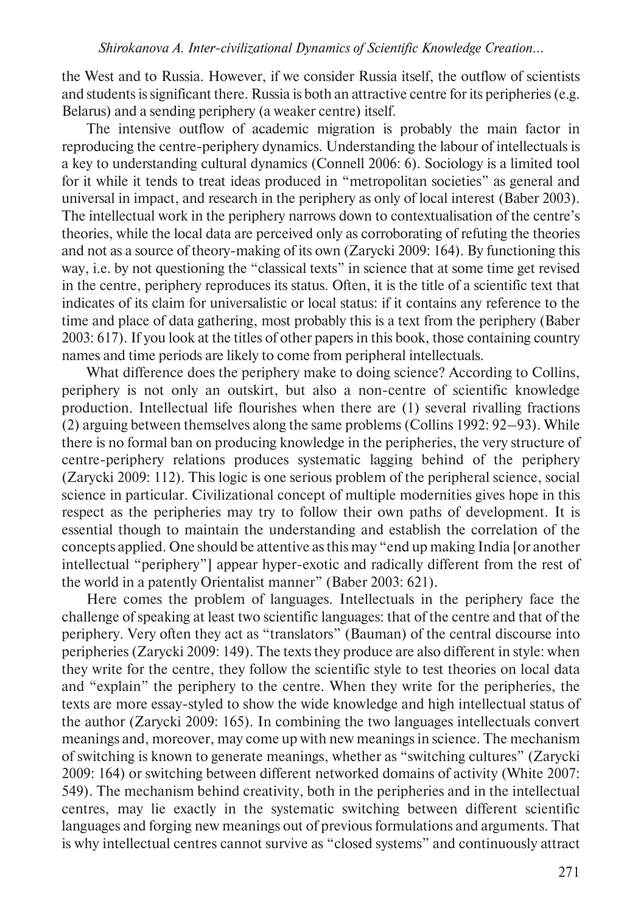the West and to Russia. However, if we consider Russia itself, the outflow of scientists and students is significant there. Russia is both an attractive centre for its peripheries (e.g. Belarus) and a sending periphery (a weaker centre) itself.

The intensive outflow of academic migration is probably the main factor in reproducing the centre-periphery dynamics. Understanding the labour of intellectuals is a key to understanding cultural dynamics (Connell 2006: 6). Sociology is a limited tool for it while it tends to treat ideas produced in "metropolitan societies" as general and universal in impact, and research in the periphery as only of local interest (Baber 2003). The intellectual work in the periphery narrows down to contextualisation of the centre's theories, while the local data are perceived only as corroborating of refuting the theories and not as a source of theory-making of its own (Zarycki 2009: 164). By functioning this way, i.e. by not questioning the "classical texts" in science that at some time get revised in the centre, periphery reproduces its status. Often, it is the title of a scientific text that indicates of its claim for universalistic or local status: if it contains any reference to the time and place of data gathering, most probably this is a text from the periphery (Baber 2003: 617). If you look at the titles of other papers in this book, those containing country names and time periods are likely to come from peripheral intellectuals.

What difference does the periphery make to doing science? According to Collins, periphery is not only an outskirt, but also a non-centre of scientific knowledge production. Intellectual life flourishes when there are (1) several rivalling fractions (2) arguing between themselves along the same problems (Collins 1992: 92–93). While there is no formal ban on producing knowledge in the peripheries, the very structure of centre-periphery relations produces systematic lagging behind of the periphery (Zarycki 2009: 112). This logic is one serious problem of the peripheral science, social science in particular. Civilizational concept of multiple modernities gives hope in this respect as the peripheries may try to follow their own paths of development. It is essential though to maintain the understanding and establish the correlation of the concepts applied. One should be attentive as this may "end up making India [or another intellectual "periphery"] appear hyper-exotic and radically different from the rest of the world in a patently Orientalist manner" (Baber 2003: 621).

Here comes the problem of languages. Intellectuals in the periphery face the challenge of speaking at least two scientific languages: that of the centre and that of the periphery. Very often they act as "translators" (Bauman) of the central discourse into peripheries (Zarycki 2009: 149). The texts they produce are also different in style: when they write for the centre, they follow the scientific style to test theories on local data and "explain" the periphery to the centre. When they write for the peripheries, the texts are more essay-styled to show the wide knowledge and high intellectual status of the author (Zarycki 2009: 165). In combining the two languages intellectuals convert meanings and, moreover, may come up with new meanings in science. The mechanism of switching is known to generate meanings, whether as "switching cultures" (Zarycki 2009: 164) or switching between different networked domains of activity (White 2007: 549). The mechanism behind creativity, both in the peripheries and in the intellectual centres, may lie exactly in the systematic switching between different scientific languages and forging new meanings out of previous formulations and arguments. That is why intellectual centres cannot survive as "closed systems" and continuously attract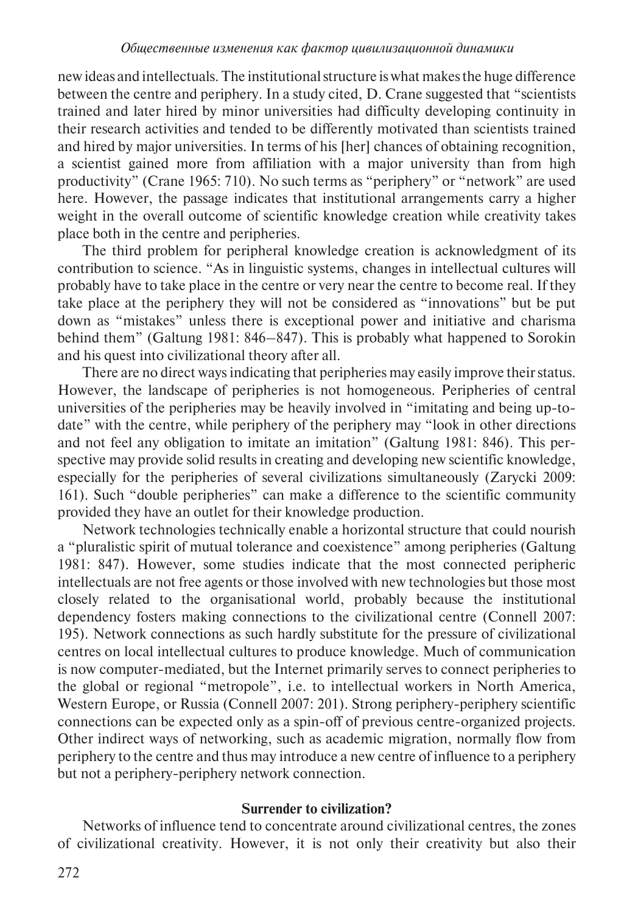new ideas and intellectuals. The institutional structure is what makes the huge difference between the centre and periphery. In a study cited, D. Crane suggested that "scientists trained and later hired by minor universities had difficulty developing continuity in their research activities and tended to be differently motivated than scientists trained and hired by major universities. In terms of his [her] chances of obtaining recognition, a scientist gained more from affiliation with a major university than from high productivity" (Crane 1965: 710). No such terms as "periphery" or "network" are used here. However, the passage indicates that institutional arrangements carry a higher weight in the overall outcome of scientific knowledge creation while creativity takes place both in the centre and peripheries.

The third problem for peripheral knowledge creation is acknowledgment of its contribution to science. "As in linguistic systems, changes in intellectual cultures will probably have to take place in the centre or very near the centre to become real. If they take place at the periphery they will not be considered as "innovations" but be put down as "mistakes" unless there is exceptional power and initiative and charisma behind them" (Galtung 1981: 846–847). This is probably what happened to Sorokin and his quest into civilizational theory after all.

There are no direct ways indicating that peripheries may easily improve their status. However, the landscape of peripheries is not homogeneous. Peripheries of central universities of the peripheries may be heavily involved in "imitating and being up-todate" with the centre, while periphery of the periphery may "look in other directions and not feel any obligation to imitate an imitation" (Galtung 1981: 846). This perspective may provide solid results in creating and developing new scientific knowledge, especially for the peripheries of several civilizations simultaneously (Zarycki 2009: 161). Such "double peripheries" can make a difference to the scientific community provided they have an outlet for their knowledge production.

Network technologies technically enable a horizontal structure that could nourish a "pluralistic spirit of mutual tolerance and coexistence" among peripheries (Galtung 1981: 847). However, some studies indicate that the most connected peripheric intellectuals are not free agents or those involved with new technologies but those most closely related to the organisational world, probably because the institutional dependency fosters making connections to the civilizational centre (Connell 2007: 195). Network connections as such hardly substitute for the pressure of civilizational centres on local intellectual cultures to produce knowledge. Much of communication is now computer-mediated, but the Internet primarily serves to connect peripheries to the global or regional "metropole", i.e. to intellectual workers in North America, Western Europe, or Russia (Connell 2007: 201). Strong periphery-periphery scientific connections can be expected only as a spin-off of previous centre-organized projects. Other indirect ways of networking, such as academic migration, normally flow from periphery to the centre and thus may introduce a new centre of influence to a periphery but not a periphery-periphery network connection.

## **Surrender to civilization?**

Networks of influence tend to concentrate around civilizational centres, the zones of civilizational creativity. However, it is not only their creativity but also their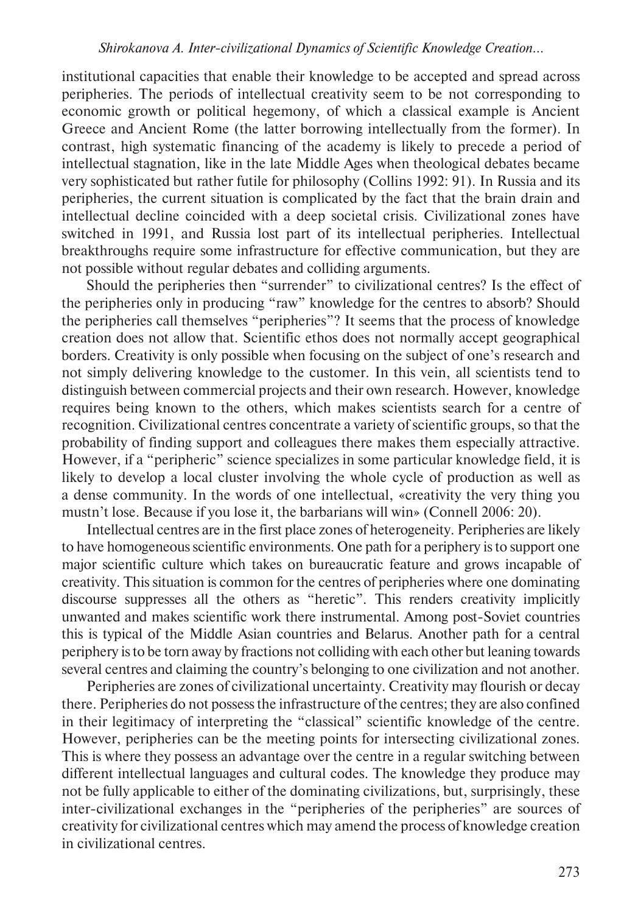institutional capacities that enable their knowledge to be accepted and spread across peripheries. The periods of intellectual creativity seem to be not corresponding to economic growth or political hegemony, of which a classical example is Ancient Greece and Ancient Rome (the latter borrowing intellectually from the former). In contrast, high systematic financing of the academy is likely to precede a period of intellectual stagnation, like in the late Middle Ages when theological debates became very sophisticated but rather futile for philosophy (Collins 1992: 91). In Russia and its peripheries, the current situation is complicated by the fact that the brain drain and intellectual decline coincided with a deep societal crisis. Civilizational zones have switched in 1991, and Russia lost part of its intellectual peripheries. Intellectual breakthroughs require some infrastructure for effective communication, but they are not possible without regular debates and colliding arguments.

Should the peripheries then "surrender" to civilizational centres? Is the effect of the peripheries only in producing "raw" knowledge for the centres to absorb? Should the peripheries call themselves "peripheries"? It seems that the process of knowledge creation does not allow that. Scientific ethos does not normally accept geographical borders. Creativity is only possible when focusing on the subject of one's research and not simply delivering knowledge to the customer. In this vein, all scientists tend to distinguish between commercial projects and their own research. However, knowledge requires being known to the others, which makes scientists search for a centre of recognition. Civilizational centres concentrate a variety of scientific groups, so that the probability of finding support and colleagues there makes them especially attractive. However, if a "peripheric" science specializes in some particular knowledge field, it is likely to develop a local cluster involving the whole cycle of production as well as a dense community. In the words of one intellectual, «creativity the very thing you mustn't lose. Because if you lose it, the barbarians will win» (Connell 2006: 20).

Intellectual centres are in the first place zones of heterogeneity. Peripheries are likely to have homogeneous scientific environments. One path for a periphery is to support one major scientific culture which takes on bureaucratic feature and grows incapable of creativity. This situation is common for the centres of peripheries where one dominating discourse suppresses all the others as "heretic". This renders creativity implicitly unwanted and makes scientific work there instrumental. Among post-Soviet countries this is typical of the Middle Asian countries and Belarus. Another path for a central periphery is to be torn away by fractions not colliding with each other but leaning towards several centres and claiming the country's belonging to one civilization and not another.

Peripheries are zones of civilizational uncertainty. Creativity may flourish or decay there. Peripheries do not possess the infrastructure of the centres; they are also confined in their legitimacy of interpreting the "classical" scientific knowledge of the centre. However, peripheries can be the meeting points for intersecting civilizational zones. This is where they possess an advantage over the centre in a regular switching between different intellectual languages and cultural codes. The knowledge they produce may not be fully applicable to either of the dominating civilizations, but, surprisingly, these inter-civilizational exchanges in the "peripheries of the peripheries" are sources of creativity for civilizational centres which may amend the process of knowledge creation in civilizational centres.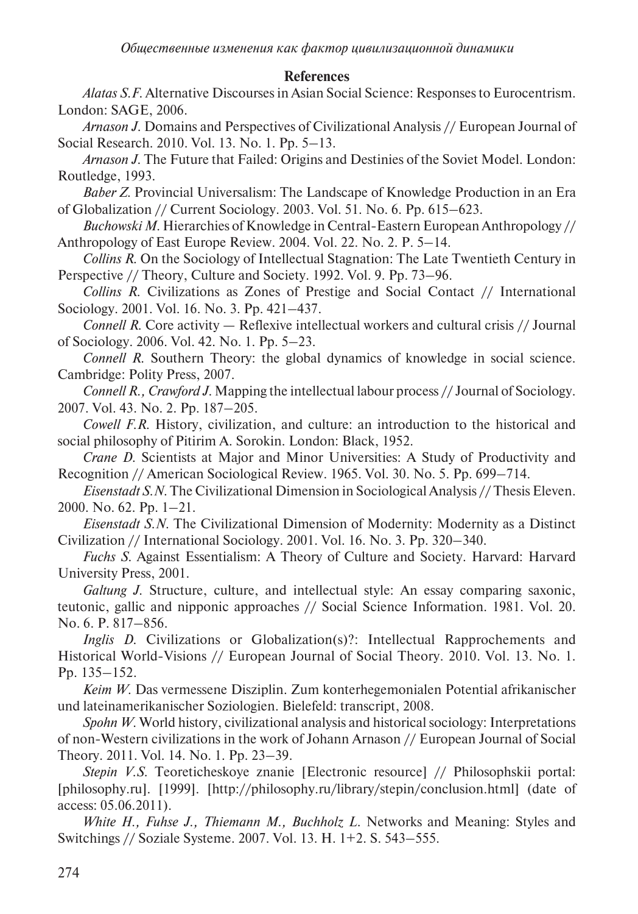### **References**

*Alatas S.F.* Alternative Discourses in Asian Social Science: Responses to Eurocentrism. London: SAGE, 2006.

*Arnason J.* Domains and Perspectives of Civilizational Analysis // European Journal of Social Research. 2010. Vol. 13. No. 1. Pp. 5–13.

*Arnason J.* The Future that Failed: Origins and Destinies of the Soviet Model. London: Routledge, 1993.

*Baber Z.* Provincial Universalism: The Landscape of Knowledge Production in an Era of Globalization // Current Sociology. 2003. Vol. 51. No. 6. Pp. 615–623.

*Buchowski M.* Hierarchies of Knowledge in Central-Eastern European Anthropology // Anthropology of East Europe Review. 2004. Vol. 22. No. 2. P. 5–14.

*Collins R.* On the Sociology of Intellectual Stagnation: The Late Twentieth Century in Perspective // Theory, Culture and Society. 1992. Vol. 9. Pp. 73–96.

*Collins R.* Civilizations as Zones of Prestige and Social Contact // International Sociology. 2001. Vol. 16. No. 3. Pp. 421–437.

*Connell R.* Core activity — Reflexive intellectual workers and cultural crisis // Journal of Sociology. 2006. Vol. 42. No. 1. Pp. 5–23.

*Connell R.* Southern Theory: the global dynamics of knowledge in social science. Cambridge: Polity Press, 2007.

*Connell R., Crawford J.* Mapping the intellectual labour process // Journal of Sociology*.*  2007. Vol. 43. No. 2. Pp. 187–205.

*Cowell F.R.* History, civilization, and culture: an introduction to the historical and social philosophy of Pitirim A. Sorokin. London: Black, 1952.

*Crane D.* Scientists at Major and Minor Universities: A Study of Productivity and Recognition // American Sociological Review*.* 1965. Vol. 30. No. 5. Pp. 699–714.

*Eisenstadt S.N.* The Civilizational Dimension in Sociological Analysis // Thesis Eleven. 2000. No. 62. Pp. 1–21.

*Eisenstadt S.N.* The Civilizational Dimension of Modernity: Modernity as a Distinct Civilization // International Sociology. 2001. Vol. 16. No. 3. Pp. 320–340.

*Fuchs S.* Against Essentialism: A Theory of Culture and Society. Harvard: Harvard University Press, 2001.

*Galtung J.* Structure, culture, and intellectual style: An essay comparing saxonic, teutonic, gallic and nipponic approaches // Social Science Information. 1981. Vol. 20. No. 6. P. 817–856.

*Inglis D.* Civilizations or Globalization(s)?: Intellectual Rapprochements and Historical World-Visions // European Journal of Social Theory. 2010. Vol. 13. No. 1. Pp. 135–152.

*Keim W.* Das vermessene Disziplin. Zum konterhegemonialen Potential afrikanischer und lateinamerikanischer Soziologien. Bielefeld: transcript, 2008.

*Spohn W.* World history, civilizational analysis and historical sociology: Interpretations of non-Western civilizations in the work of Johann Arnason // European Journal of Social Theory. 2011. Vol. 14. No. 1. Pp. 23–39.

*Stepin V.S.* Teoreticheskoye znanie [Electronic resource] // Philosophskii portal: [philosophy.ru]. [1999]. [http://philosophy.ru/library/stepin/conclusion.html] (date of access: 05.06.2011).

*White H., Fuhse J., Thiemann M., Buchholz L.* Networks and Meaning: Styles and Switchings // Soziale Systeme. 2007. Vol. 13. H. 1+2. S. 543–555.